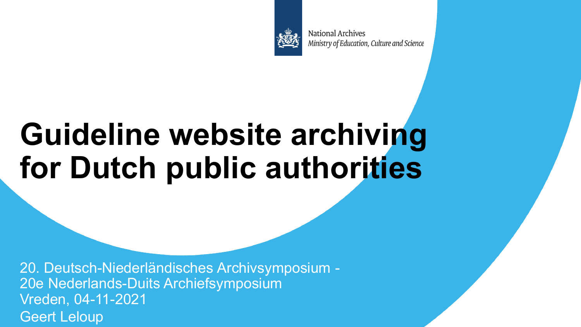

**National Archives** Ministry of Education, Culture and Science

# **Guideline website archiving for Dutch public authorities**

20. Deutsch-Niederländisches Archivsymposium - 20e Nederlands-Duits Archiefsymposium Vreden, 04-11-2021 Geert Leloup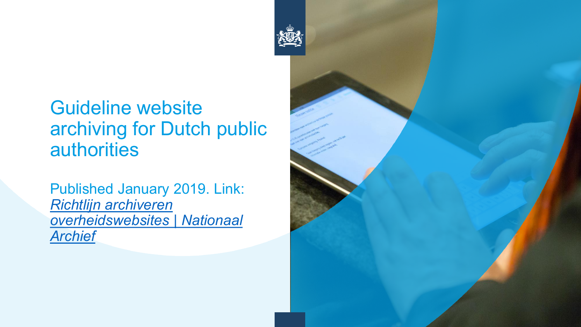### Guideline website archiving for Dutch public authorities

Published January 2019. Link: *Richtlijn archiveren [overheidswebsites | Nationaal](https://www.nationaalarchief.nl/archiveren/kennisbank/Richtlijn-Archiveren-Overheidswebsites)  Archief*

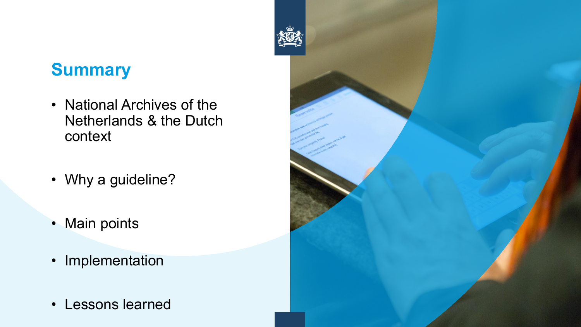### **Summary**

- National Archives of the Netherlands & the Dutch context
- Why a guideline?
- Main points
- Implementation
- Lessons learned

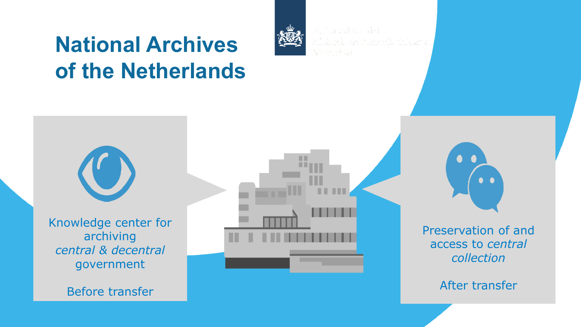### **National Archives of the Netherlands**



Nationaal Archief ran Onderwiis. Cultuur en Wetenschap

Knowledge center for archiving *central & decentral*  government

Before transfer

Preservation of and access to *central collection*

After transfer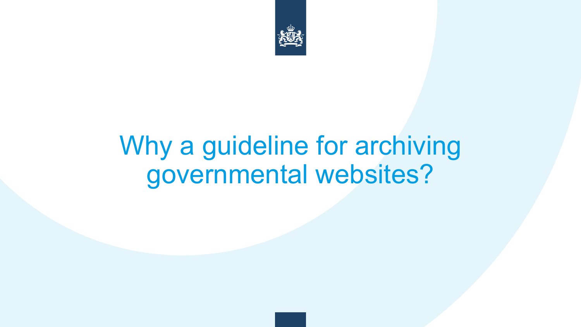

# Why a guideline for archiving governmental websites?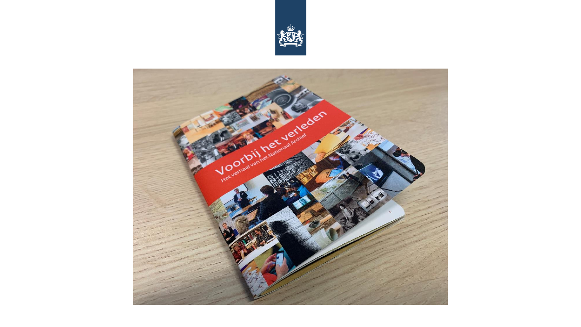

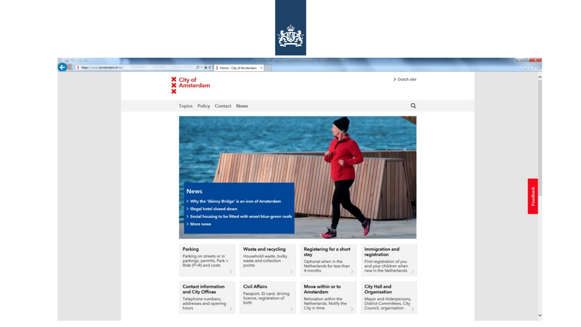

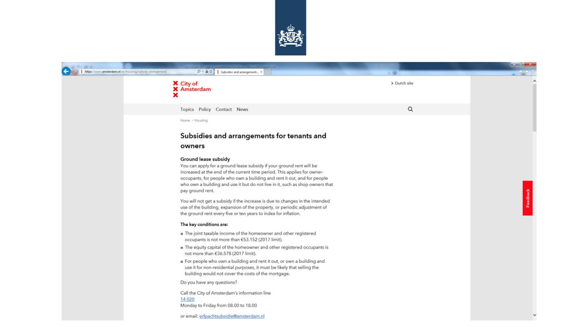

| https://www.amsterdam.nl/en/housing/subsidy-arrangement/ | $D = \mathbf{a} \in \mathbb{C}$ Subsidies and arrangement $\times$                                                                                                                                                                                                                                                                                        |              |         |
|----------------------------------------------------------|-----------------------------------------------------------------------------------------------------------------------------------------------------------------------------------------------------------------------------------------------------------------------------------------------------------------------------------------------------------|--------------|---------|
|                                                          | X City of<br><b>X</b> Amsterdam                                                                                                                                                                                                                                                                                                                           | > Dutch site | Α       |
|                                                          | Topics Policy Contact News                                                                                                                                                                                                                                                                                                                                | Q            |         |
|                                                          | Home > Housing                                                                                                                                                                                                                                                                                                                                            |              |         |
|                                                          | Subsidies and arrangements for tenants and                                                                                                                                                                                                                                                                                                                |              |         |
|                                                          | owners                                                                                                                                                                                                                                                                                                                                                    |              |         |
|                                                          | Ground lease subsidy<br>You can apply for a ground lease subsidy if your ground rent will be<br>increased at the end of the current time period. This applies for owner-<br>occupants, for people who own a building and rent it out, and for people<br>who own a building and use it but do not live in it, such as shop owners that<br>pay ground rent. |              |         |
|                                                          | You will not get a subsidy if the increase is due to changes in the intended<br>use of the building, expansion of the property, or periodic adjustment of<br>the ground rent every five or ten years to index for inflation.                                                                                                                              |              | Feedbad |
|                                                          | The key conditions are:                                                                                                                                                                                                                                                                                                                                   |              |         |
|                                                          | The joint taxable income of the homeowner and other registered<br>occupants is not more than €53.152 (2017 limit).                                                                                                                                                                                                                                        |              |         |
|                                                          | In The equity capital of the homeowner and other registered occupants is<br>not more than €36.578 (2017 limit).                                                                                                                                                                                                                                           |              |         |
|                                                          | For people who own a building and rent it out, or own a building and<br>use it for non-residential purposes, it must be likely that selling the<br>building would not cover the costs of the mortgage.                                                                                                                                                    |              |         |
|                                                          | Do you have any questions?                                                                                                                                                                                                                                                                                                                                |              |         |
|                                                          | Call the City of Amsterdam's information line<br>14 0 20<br>Monday to Friday from 08.00 to 18.00                                                                                                                                                                                                                                                          |              |         |

 $\checkmark$ 

or email: erfpachtsubsidie@amsterdam.nl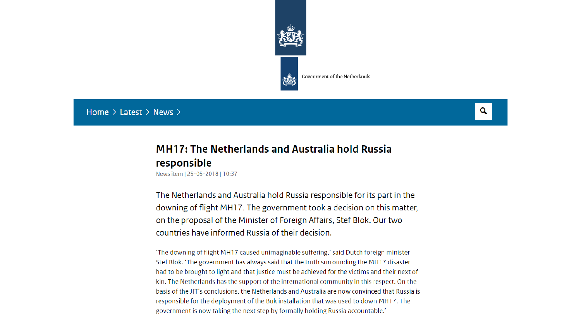

Government of the Netherlands

#### Home  $\geq$  Latest  $\geq$  News  $\geq$

#### Q

#### **MH17: The Netherlands and Australia hold Russia** responsible

News item | 25-05-2018 | 10:37

The Netherlands and Australia hold Russia responsible for its part in the downing of flight MH17. The government took a decision on this matter, on the proposal of the Minister of Foreign Affairs, Stef Blok. Our two countries have informed Russia of their decision.

'The downing of flight MH17 caused unimaginable suffering,' said Dutch foreign minister Stef Blok. 'The government has always said that the truth surrounding the MH17 disaster had to be brought to light and that justice must be achieved for the victims and their next of kin. The Netherlands has the support of the international community in this respect. On the basis of the JIT's conclusions, the Netherlands and Australia are now convinced that Russia is responsible for the deployment of the Buk installation that was used to down MH17. The government is now taking the next step by formally holding Russia accountable.'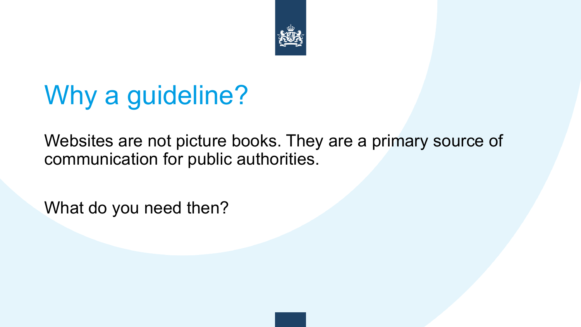

# Why a guideline?

Websites are not picture books. They are a primary source of communication for public authorities.

What do you need then?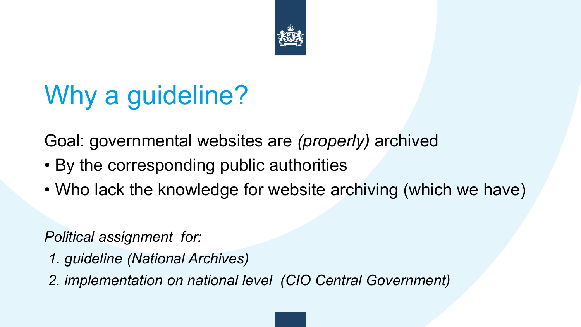

# Why a guideline?

Goal: governmental websites are *(properly)* archived

- By the corresponding public authorities
- Who lack the knowledge for website archiving (which we have)

*Political assignment for:*

- *1. guideline (National Archives)*
- *2. implementation on national level (CIO Central Government)*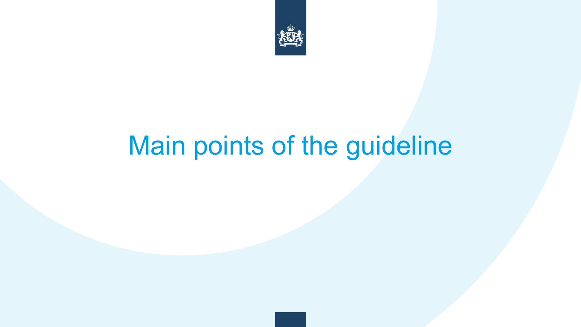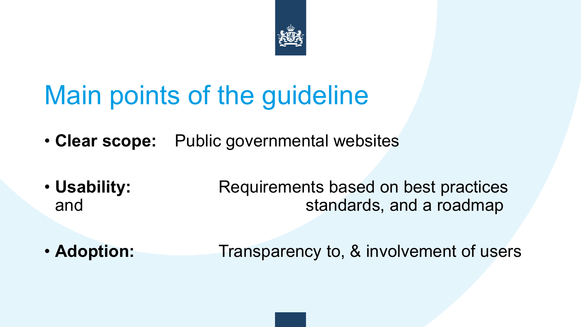

- **Clear scope:** Public governmental websites
- **Usability:** Requirements based on best practices and and standards, and a roadmap
- **Adoption:** Transparency to, & involvement of users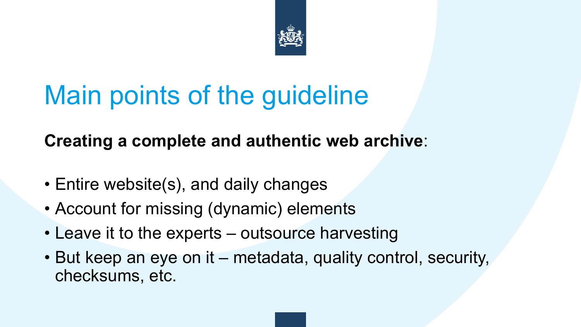

### **Creating a complete and authentic web archive**:

- Entire website(s), and daily changes
- Account for missing (dynamic) elements
- Leave it to the experts outsource harvesting
- But keep an eye on it metadata, quality control, security, checksums, etc.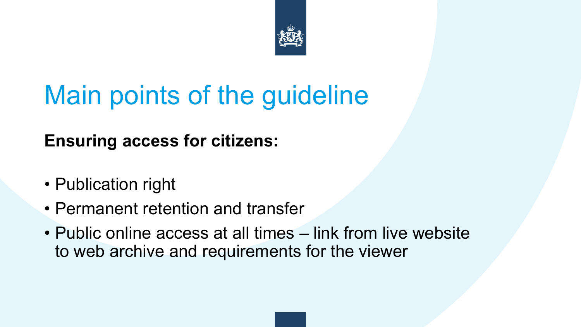

**Ensuring access for citizens:**

- Publication right
- Permanent retention and transfer
- Public online access at all times link from live website to web archive and requirements for the viewer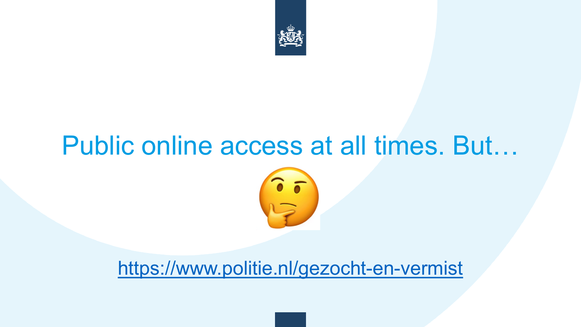

### Public online access at all times. But…



### <https://www.politie.nl/gezocht-en-vermist>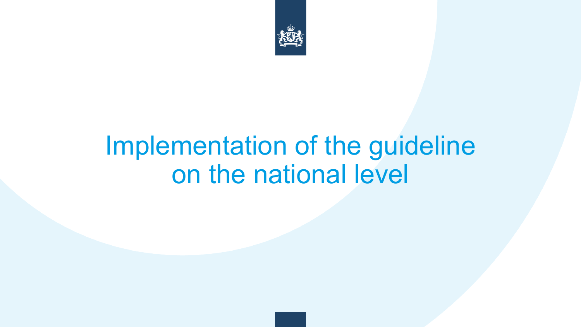

## Implementation of the guideline on the national level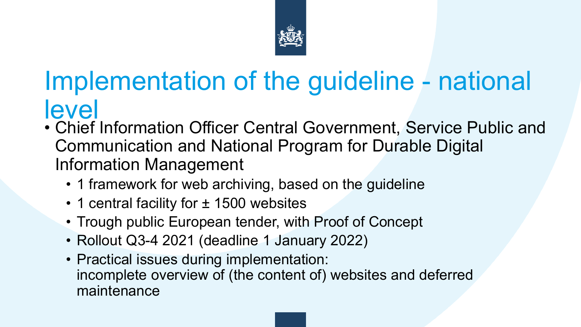

### Implementation of the guideline - national level

- Chief Information Officer Central Government, Service Public and Communication and National Program for Durable Digital Information Management
	- 1 framework for web archiving, based on the guideline
	- 1 central facility for ± 1500 websites
	- Trough public European tender, with Proof of Concept
	- Rollout Q3-4 2021 (deadline 1 January 2022)
	- Practical issues during implementation: incomplete overview of (the content of) websites and deferred maintenance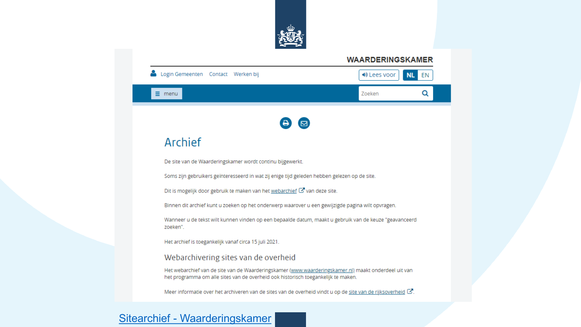

#### *WAARDERINGSKAMER* Login Gemeenten Contact Werken bij **♦ Lees voor NL** EN  $\equiv$  menu Zoeken Q  $\boldsymbol{\Theta}$  $\boldsymbol{\Xi}$ Archief De site van de Waarderingskamer wordt continu bijgewerkt. Soms zijn gebruikers geïnteresseerd in wat zij enige tijd geleden hebben gelezen op de site. Dit is mogelijk door gebruik te maken van het webarchief C van deze site. Binnen dit archief kunt u zoeken op het onderwerp waarover u een gewijzigde pagina wilt opvragen. Wanneer u de tekst wilt kunnen vinden op een bepaalde datum, maakt u gebruik van de keuze "geavanceerd zoeken". Het archief is toegankelijk vanaf circa 15 juli 2021. Webarchivering sites van de overheid Het webarchief van de site van de Waarderingskamer (www.waarderingskamer.nl) maakt onderdeel uit van het programma om alle sites van de overheid ook historisch toegankelijk te maken. Meer informatie over het archiveren van de sites van de overheid vindt u op de site van de rijksoverheid C.

#### Sitearchief - [Waarderingskamer](https://waarderingskamer.sitearchief.nl/#archive)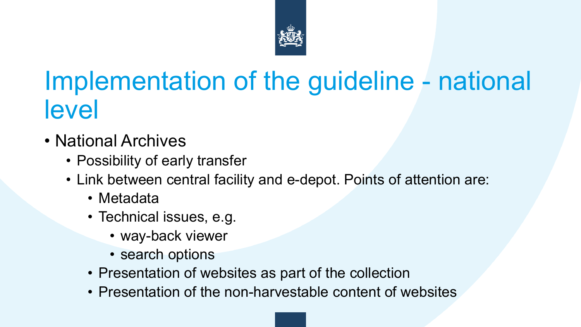

## Implementation of the guideline - national level

- National Archives
	- Possibility of early transfer
	- Link between central facility and e-depot. Points of attention are:
		- Metadata
		- Technical issues, e.g.
			- way-back viewer
			- search options
		- Presentation of websites as part of the collection
		- Presentation of the non-harvestable content of websites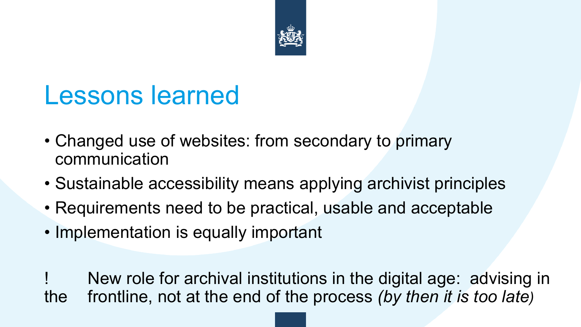

### Lessons learned

- Changed use of websites: from secondary to primary communication
- Sustainable accessibility means applying archivist principles
- Requirements need to be practical, usable and acceptable
- Implementation is equally important

New role for archival institutions in the digital age: advising in the frontline, not at the end of the process *(by then it is too late)*